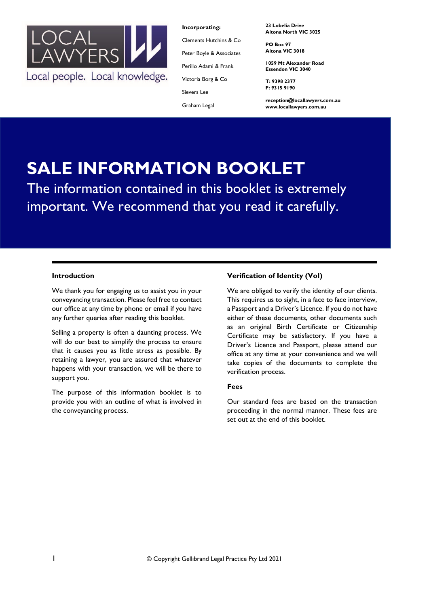

**Incorporating:**

Clements Hutchins & Co Peter Boyle & Associates

Perillo Adami & Frank

Victoria Borg & Co

Sievers Lee

Graham Legal

**23 Lobelia Drive Altona North VIC 3025**

**PO Box 97 Altona VIC 3018**

**1059 Mt Alexander Road Essendon VIC 3040**

**T: 9398 2377 F: 9315 9190**

**reception@locallawyers.com.au www.locallawyers.com.au**

# **SALE INFORMATION BOOKLET**

The information contained in this booklet is extremely important. We recommend that you read it carefully.

## **Introduction**

We thank you for engaging us to assist you in your conveyancing transaction. Please feel free to contact our office at any time by phone or email if you have any further queries after reading this booklet.

Selling a property is often a daunting process. We will do our best to simplify the process to ensure that it causes you as little stress as possible. By retaining a lawyer, you are assured that whatever happens with your transaction, we will be there to support you.

The purpose of this information booklet is to provide you with an outline of what is involved in the conveyancing process.

# **Verification of Identity (VoI)**

We are obliged to verify the identity of our clients. This requires us to sight, in a face to face interview, a Passport and a Driver's Licence. If you do not have either of these documents, other documents such as an original Birth Certificate or Citizenship Certificate may be satisfactory. If you have a Driver's Licence and Passport, please attend our office at any time at your convenience and we will take copies of the documents to complete the verification process.

#### **Fees**

Our standard fees are based on the transaction proceeding in the normal manner. These fees are set out at the end of this booklet.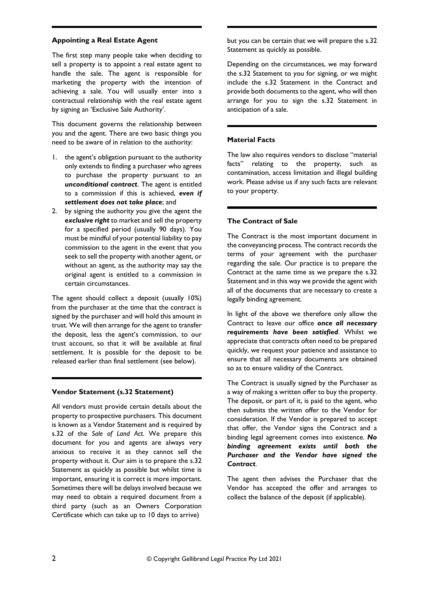## **Appointing a Real Estate Agent**

The first step many people take when deciding to sell a property is to appoint a real estate agent to handle the sale. The agent is responsible for marketing the property with the intention of achieving a sale. You will usually enter into a contractual relationship with the real estate agent by signing an 'Exclusive Sale Authority'.

This document governs the relationship between you and the agent. There are two basic things you need to be aware of in relation to the authority:

- 1. the agent's obligation pursuant to the authority only extends to finding a purchaser who agrees to purchase the property pursuant to an *unconditional contract*. The agent is entitled to a commission if this is achieved, *even if settlement does not take place*; and
- 2. by signing the authority you give the agent the *exclusive right* to market and sell the property for a specified period (usually 90 days). You must be mindful of your potential liability to pay commission to the agent in the event that you seek to sell the property with another agent, or without an agent, as the authority may say the original agent is entitled to a commission in certain circumstances.

The agent should collect a deposit (usually 10%) from the purchaser at the time that the contract is signed by the purchaser and will hold this amount in trust. We will then arrange for the agent to transfer the deposit, less the agent's commission, to our trust account, so that it will be available at final settlement. It is possible for the deposit to be released earlier than final settlement (see below).

## **Vendor Statement (s.32 Statement)**

All vendors must provide certain details about the property to prospective purchasers. This document is known as a Vendor Statement and is required by s.32 of the *Sale of Land Act*. We prepare this document for you and agents are always very anxious to receive it as they cannot sell the property without it. Our aim is to prepare the s.32 Statement as quickly as possible but whilst time is important, ensuring it is correct is more important. Sometimes there will be delays involved because we may need to obtain a required document from a third party (such as an Owners Corporation Certificate which can take up to 10 days to arrive)

but you can be certain that we will prepare the s.32 Statement as quickly as possible.

Depending on the circumstances, we may forward the s.32 Statement to you for signing, or we might include the s.32 Statement in the Contract and provide both documents to the agent, who will then arrange for you to sign the s.32 Statement in anticipation of a sale.

## **Material Facts**

The law also requires vendors to disclose "material facts" relating to the property, such as contamination, access limitation and illegal building work. Please advise us if any such facts are relevant to your property.

## **The Contract of Sale**

The Contract is the most important document in the conveyancing process. The contract records the terms of your agreement with the purchaser regarding the sale. Our practice is to prepare the Contract at the same time as we prepare the s.32 Statement and in this way we provide the agent with all of the documents that are necessary to create a legally binding agreement.

In light of the above we therefore only allow the Contract to leave our office *once all necessary requirements have been satisfied*. Whilst we appreciate that contracts often need to be prepared quickly, we request your patience and assistance to ensure that all necessary documents are obtained so as to ensure validity of the Contract.

The Contract is usually signed by the Purchaser as a way of making a written offer to buy the property. The deposit, or part of it, is paid to the agent, who then submits the written offer to the Vendor for consideration. If the Vendor is prepared to accept that offer, the Vendor signs the Contract and a binding legal agreement comes into existence. *No binding agreement exists until both the Purchaser and the Vendor have signed the Contract*.

The agent then advises the Purchaser that the Vendor has accepted the offer and arranges to collect the balance of the deposit (if applicable).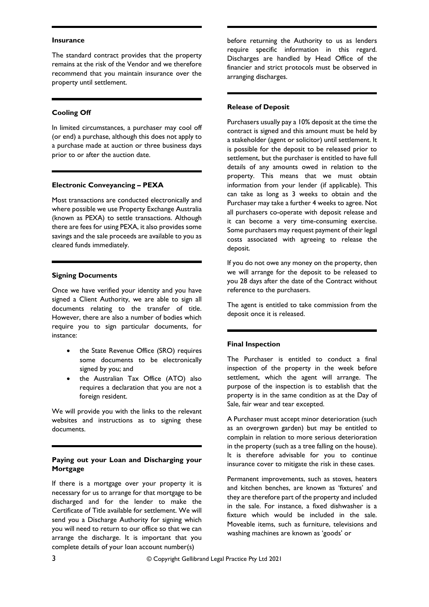#### **Insurance**

The standard contract provides that the property remains at the risk of the Vendor and we therefore recommend that you maintain insurance over the property until settlement.

## **Cooling Off**

In limited circumstances, a purchaser may cool off (or end) a purchase, although this does not apply to a purchase made at auction or three business days prior to or after the auction date.

## **Electronic Conveyancing – PEXA**

Most transactions are conducted electronically and where possible we use Property Exchange Australia (known as PEXA) to settle transactions. Although there are fees for using PEXA, it also provides some savings and the sale proceeds are available to you as cleared funds immediately.

## **Signing Documents**

Once we have verified your identity and you have signed a Client Authority, we are able to sign all documents relating to the transfer of title. However, there are also a number of bodies which require you to sign particular documents, for instance:

- the State Revenue Office (SRO) requires some documents to be electronically signed by you; and
- the Australian Tax Office (ATO) also requires a declaration that you are not a foreign resident.

We will provide you with the links to the relevant websites and instructions as to signing these documents.

## **Paying out your Loan and Discharging your Mortgage**

If there is a mortgage over your property it is necessary for us to arrange for that mortgage to be discharged and for the lender to make the Certificate of Title available for settlement. We will send you a Discharge Authority for signing which you will need to return to our office so that we can arrange the discharge. It is important that you complete details of your loan account number(s)

before returning the Authority to us as lenders require specific information in this regard. Discharges are handled by Head Office of the financier and strict protocols must be observed in arranging discharges.

#### **Release of Deposit**

Purchasers usually pay a 10% deposit at the time the contract is signed and this amount must be held by a stakeholder (agent or solicitor) until settlement. It is possible for the deposit to be released prior to settlement, but the purchaser is entitled to have full details of any amounts owed in relation to the property. This means that we must obtain information from your lender (if applicable). This can take as long as 3 weeks to obtain and the Purchaser may take a further 4 weeks to agree. Not all purchasers co-operate with deposit release and it can become a very time-consuming exercise. Some purchasers may request payment of their legal costs associated with agreeing to release the deposit.

If you do not owe any money on the property, then we will arrange for the deposit to be released to you 28 days after the date of the Contract without reference to the purchasers.

The agent is entitled to take commission from the deposit once it is released.

## **Final Inspection**

The Purchaser is entitled to conduct a final inspection of the property in the week before settlement, which the agent will arrange. The purpose of the inspection is to establish that the property is in the same condition as at the Day of Sale, fair wear and tear excepted.

A Purchaser must accept minor deterioration (such as an overgrown garden) but may be entitled to complain in relation to more serious deterioration in the property (such as a tree falling on the house). It is therefore advisable for you to continue insurance cover to mitigate the risk in these cases.

Permanent improvements, such as stoves, heaters and kitchen benches, are known as 'fixtures' and they are therefore part of the property and included in the sale. For instance, a fixed dishwasher is a fixture which would be included in the sale. Moveable items, such as furniture, televisions and washing machines are known as 'goods' or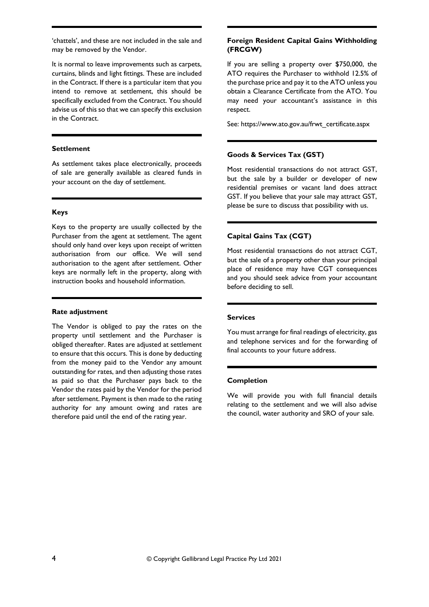'chattels', and these are not included in the sale and may be removed by the Vendor.

It is normal to leave improvements such as carpets, curtains, blinds and light fittings. These are included in the Contract. If there is a particular item that you intend to remove at settlement, this should be specifically excluded from the Contract. You should advise us of this so that we can specify this exclusion in the Contract.

#### **Settlement**

As settlement takes place electronically, proceeds of sale are generally available as cleared funds in your account on the day of settlement.

#### **Keys**

Keys to the property are usually collected by the Purchaser from the agent at settlement. The agent should only hand over keys upon receipt of written authorisation from our office. We will send authorisation to the agent after settlement. Other keys are normally left in the property, along with instruction books and household information.

## **Rate adjustment**

The Vendor is obliged to pay the rates on the property until settlement and the Purchaser is obliged thereafter. Rates are adjusted at settlement to ensure that this occurs. This is done by deducting from the money paid to the Vendor any amount outstanding for rates, and then adjusting those rates as paid so that the Purchaser pays back to the Vendor the rates paid by the Vendor for the period after settlement. Payment is then made to the rating authority for any amount owing and rates are therefore paid until the end of the rating year.

## **Foreign Resident Capital Gains Withholding (FRCGW)**

If you are selling a property over \$750,000, the ATO requires the Purchaser to withhold 12.5% of the purchase price and pay it to the ATO unless you obtain a Clearance Certificate from the ATO. You may need your accountant's assistance in this respect.

See: https://www.ato.gov.au/frwt\_certificate.aspx

## **Goods & Services Tax (GST)**

Most residential transactions do not attract GST, but the sale by a builder or developer of new residential premises or vacant land does attract GST. If you believe that your sale may attract GST, please be sure to discuss that possibility with us.

## **Capital Gains Tax (CGT)**

Most residential transactions do not attract CGT, but the sale of a property other than your principal place of residence may have CGT consequences and you should seek advice from your accountant before deciding to sell.

#### **Services**

You must arrange for final readings of electricity, gas and telephone services and for the forwarding of final accounts to your future address.

### **Completion**

We will provide you with full financial details relating to the settlement and we will also advise the council, water authority and SRO of your sale.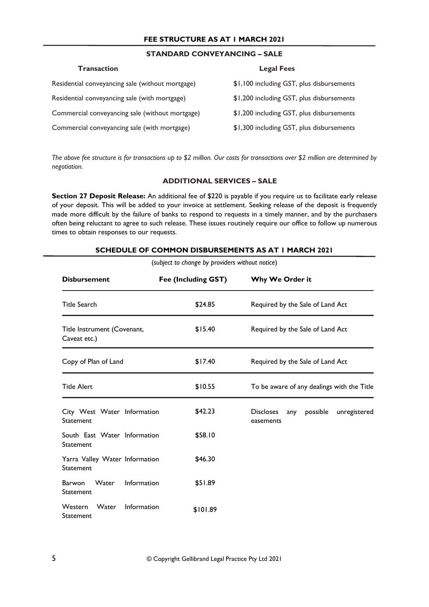# **FEE STRUCTURE AS AT 1 MARCH 2021**

# **STANDARD CONVEYANCING – SALE**

| Transaction                                      | <b>Legal Fees</b>                         |
|--------------------------------------------------|-------------------------------------------|
| Residential conveyancing sale (without mortgage) | \$1,100 including GST, plus disbursements |
| Residential conveyancing sale (with mortgage)    | \$1,200 including GST, plus disbursements |
| Commercial conveyancing sale (without mortgage)  | \$1,200 including GST, plus disbursements |
| Commercial conveyancing sale (with mortgage)     | \$1,300 including GST, plus disbursements |

*The above fee structure is for transactions up to \$2 million. Our costs for transactions over \$2 million are determined by negotiation.*

## **ADDITIONAL SERVICES – SALE**

**Section 27 Deposit Release:** An additional fee of \$220 is payable if you require us to facilitate early release of your deposit. This will be added to your invoice at settlement. Seeking release of the deposit is frequently made more difficult by the failure of banks to respond to requests in a timely manner, and by the purchasers often being reluctant to agree to such release. These issues routinely require our office to follow up numerous times to obtain responses to our requests.

| (subject to change by providers without notice)    |                     |                                                                  |  |  |  |
|----------------------------------------------------|---------------------|------------------------------------------------------------------|--|--|--|
| <b>Disbursement</b>                                | Fee (Including GST) | Why We Order it                                                  |  |  |  |
| <b>Title Search</b>                                | \$24.85             | Required by the Sale of Land Act                                 |  |  |  |
| Title Instrument (Covenant,<br>Caveat etc.)        | \$15.40             | Required by the Sale of Land Act                                 |  |  |  |
| Copy of Plan of Land                               | \$17.40             | Required by the Sale of Land Act                                 |  |  |  |
| <b>Title Alert</b>                                 | \$10.55             | To be aware of any dealings with the Title                       |  |  |  |
| City West Water Information<br>Statement           | \$42.23             | <b>Discloses</b><br>possible<br>unregistered<br>any<br>easements |  |  |  |
| South East Water Information<br><b>Statement</b>   | \$58.10             |                                                                  |  |  |  |
| Yarra Valley Water Information<br>Statement        | \$46.30             |                                                                  |  |  |  |
| Barwon<br><b>Water</b><br>Information<br>Statement | \$51.89             |                                                                  |  |  |  |
| Western<br>Water<br>Information<br>Statement       | \$101.89            |                                                                  |  |  |  |

#### **SCHEDULE OF COMMON DISBURSEMENTS AS AT 1 MARCH 2021**